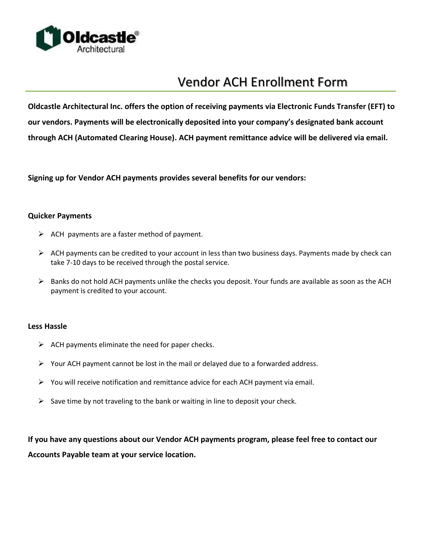

# Vendor ACH Enrollment Form

**Oldcastle Architectural Inc. offers the option of receiving payments via Electronic Funds Transfer (EFT) to our vendors. Payments will be electronically deposited into your company's designated bank account through ACH (Automated Clearing House). ACH payment remittance advice will be delivered via email.**

**Signing up for Vendor ACH payments provides several benefits for our vendors:**

#### **Quicker Payments**

- $\triangleright$  ACH payments are a faster method of payment.
- $\triangleright$  ACH payments can be credited to your account in less than two business days. Payments made by check can take 7-10 days to be received through the postal service.
- $\triangleright$  Banks do not hold ACH payments unlike the checks you deposit. Your funds are available as soon as the ACH payment is credited to your account.

#### **Less Hassle**

- $\triangleright$  ACH payments eliminate the need for paper checks.
- $\triangleright$  Your ACH payment cannot be lost in the mail or delayed due to a forwarded address.
- $\triangleright$  You will receive notification and remittance advice for each ACH payment via email.
- $\triangleright$  Save time by not traveling to the bank or waiting in line to deposit your check.

**If you have any questions about our Vendor ACH payments program, please feel free to contact our Accounts Payable team at your service location.**